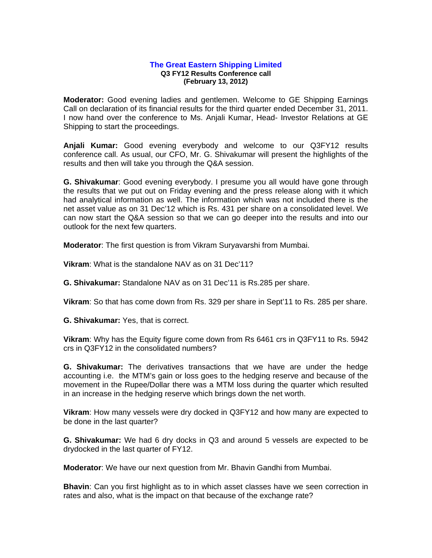## **The Great Eastern Shipping Limited Q3 FY12 Results Conference call (February 13, 2012)**

**Moderator:** Good evening ladies and gentlemen. Welcome to GE Shipping Earnings Call on declaration of its financial results for the third quarter ended December 31, 2011. I now hand over the conference to Ms. Anjali Kumar, Head- Investor Relations at GE Shipping to start the proceedings.

**Anjali Kumar:** Good evening everybody and welcome to our Q3FY12 results conference call. As usual, our CFO, Mr. G. Shivakumar will present the highlights of the results and then will take you through the Q&A session.

**G. Shivakumar**: Good evening everybody. I presume you all would have gone through the results that we put out on Friday evening and the press release along with it which had analytical information as well. The information which was not included there is the net asset value as on 31 Dec'12 which is Rs. 431 per share on a consolidated level. We can now start the Q&A session so that we can go deeper into the results and into our outlook for the next few quarters.

**Moderator**: The first question is from Vikram Suryavarshi from Mumbai.

**Vikram**: What is the standalone NAV as on 31 Dec'11?

**G. Shivakumar:** Standalone NAV as on 31 Dec'11 is Rs.285 per share.

**Vikram**: So that has come down from Rs. 329 per share in Sept'11 to Rs. 285 per share.

**G. Shivakumar:** Yes, that is correct.

**Vikram**: Why has the Equity figure come down from Rs 6461 crs in Q3FY11 to Rs. 5942 crs in Q3FY12 in the consolidated numbers?

**G. Shivakumar:** The derivatives transactions that we have are under the hedge accounting i.e. the MTM's gain or loss goes to the hedging reserve and because of the movement in the Rupee/Dollar there was a MTM loss during the quarter which resulted in an increase in the hedging reserve which brings down the net worth.

**Vikram**: How many vessels were dry docked in Q3FY12 and how many are expected to be done in the last quarter?

**G. Shivakumar:** We had 6 dry docks in Q3 and around 5 vessels are expected to be drydocked in the last quarter of FY12.

**Moderator**: We have our next question from Mr. Bhavin Gandhi from Mumbai.

**Bhavin**: Can you first highlight as to in which asset classes have we seen correction in rates and also, what is the impact on that because of the exchange rate?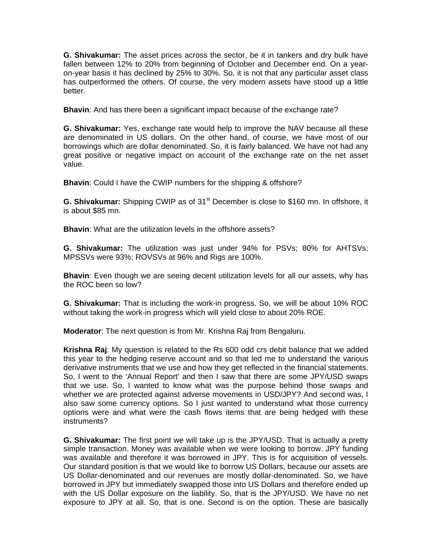**G. Shivakumar:** The asset prices across the sector, be it in tankers and dry bulk have fallen between 12% to 20% from beginning of October and December end. On a yearon-year basis it has declined by 25% to 30%. So, it is not that any particular asset class has outperformed the others. Of course, the very modern assets have stood up a little better.

**Bhavin**: And has there been a significant impact because of the exchange rate?

**G. Shivakumar:** Yes, exchange rate would help to improve the NAV because all these are denominated in US dollars. On the other hand, of course, we have most of our borrowings which are dollar denominated. So, it is fairly balanced. We have not had any great positive or negative impact on account of the exchange rate on the net asset value.

**Bhavin**: Could I have the CWIP numbers for the shipping & offshore?

**G. Shivakumar:** Shipping CWIP as of 31<sup>st</sup> December is close to \$160 mn. In offshore, it is about \$85 mn.

**Bhavin:** What are the utilization levels in the offshore assets?

**G. Shivakumar:** The utilization was just under 94% for PSVs; 80% for AHTSVs; MPSSVs were 93%; ROVSVs at 96% and Rigs are 100%.

**Bhavin**: Even though we are seeing decent utilization levels for all our assets, why has the ROC been so low?

**G. Shivakumar:** That is including the work-in progress. So, we will be about 10% ROC without taking the work-in progress which will yield close to about 20% ROE.

**Moderator**: The next question is from Mr. Krishna Raj from Bengaluru.

**Krishna Raj**: My question is related to the Rs 600 odd crs debit balance that we added this year to the hedging reserve account and so that led me to understand the various derivative instruments that we use and how they get reflected in the financial statements. So, I went to the 'Annual Report' and then I saw that there are some JPY/USD swaps that we use. So, I wanted to know what was the purpose behind those swaps and whether we are protected against adverse movements in USD/JPY? And second was, I also saw some currency options. So I just wanted to understand what those currency options were and what were the cash flows items that are being hedged with these instruments?

**G. Shivakumar:** The first point we will take up is the JPY/USD. That is actually a pretty simple transaction. Money was available when we were looking to borrow. JPY funding was available and therefore it was borrowed in JPY. This is for acquisition of vessels. Our standard position is that we would like to borrow US Dollars, because our assets are US Dollar-denominated and our revenues are mostly dollar-denominated. So, we have borrowed in JPY but immediately swapped those into US Dollars and therefore ended up with the US Dollar exposure on the liability. So, that is the JPY/USD. We have no net exposure to JPY at all. So, that is one. Second is on the option. These are basically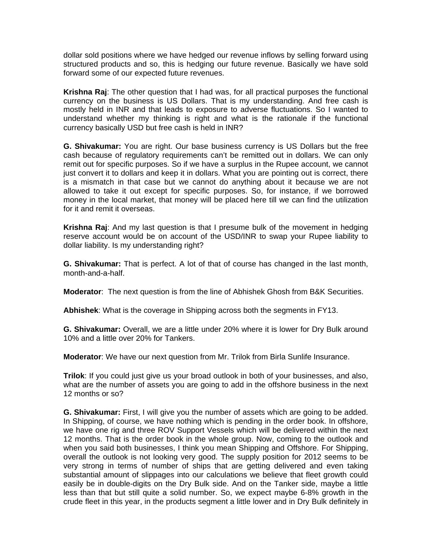dollar sold positions where we have hedged our revenue inflows by selling forward using structured products and so, this is hedging our future revenue. Basically we have sold forward some of our expected future revenues.

**Krishna Raj**: The other question that I had was, for all practical purposes the functional currency on the business is US Dollars. That is my understanding. And free cash is mostly held in INR and that leads to exposure to adverse fluctuations. So I wanted to understand whether my thinking is right and what is the rationale if the functional currency basically USD but free cash is held in INR?

**G. Shivakumar:** You are right. Our base business currency is US Dollars but the free cash because of regulatory requirements can't be remitted out in dollars. We can only remit out for specific purposes. So if we have a surplus in the Rupee account, we cannot just convert it to dollars and keep it in dollars. What you are pointing out is correct, there is a mismatch in that case but we cannot do anything about it because we are not allowed to take it out except for specific purposes. So, for instance, if we borrowed money in the local market, that money will be placed here till we can find the utilization for it and remit it overseas.

**Krishna Raj**: And my last question is that I presume bulk of the movement in hedging reserve account would be on account of the USD/INR to swap your Rupee liability to dollar liability. Is my understanding right?

**G. Shivakumar:** That is perfect. A lot of that of course has changed in the last month, month-and-a-half.

**Moderator**: The next question is from the line of Abhishek Ghosh from B&K Securities.

**Abhishek**: What is the coverage in Shipping across both the segments in FY13.

**G. Shivakumar:** Overall, we are a little under 20% where it is lower for Dry Bulk around 10% and a little over 20% for Tankers.

**Moderator**: We have our next question from Mr. Trilok from Birla Sunlife Insurance.

**Trilok**: If you could just give us your broad outlook in both of your businesses, and also, what are the number of assets you are going to add in the offshore business in the next 12 months or so?

**G. Shivakumar:** First, I will give you the number of assets which are going to be added. In Shipping, of course, we have nothing which is pending in the order book. In offshore, we have one rig and three ROV Support Vessels which will be delivered within the next 12 months. That is the order book in the whole group. Now, coming to the outlook and when you said both businesses, I think you mean Shipping and Offshore. For Shipping, overall the outlook is not looking very good. The supply position for 2012 seems to be very strong in terms of number of ships that are getting delivered and even taking substantial amount of slippages into our calculations we believe that fleet growth could easily be in double-digits on the Dry Bulk side. And on the Tanker side, maybe a little less than that but still quite a solid number. So, we expect maybe 6-8% growth in the crude fleet in this year, in the products segment a little lower and in Dry Bulk definitely in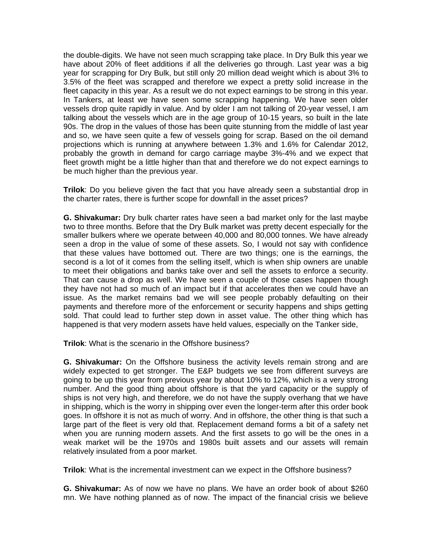the double-digits. We have not seen much scrapping take place. In Dry Bulk this year we have about 20% of fleet additions if all the deliveries go through. Last year was a big year for scrapping for Dry Bulk, but still only 20 million dead weight which is about 3% to 3.5% of the fleet was scrapped and therefore we expect a pretty solid increase in the fleet capacity in this year. As a result we do not expect earnings to be strong in this year. In Tankers, at least we have seen some scrapping happening. We have seen older vessels drop quite rapidly in value. And by older I am not talking of 20-year vessel, I am talking about the vessels which are in the age group of 10-15 years, so built in the late 90s. The drop in the values of those has been quite stunning from the middle of last year and so, we have seen quite a few of vessels going for scrap. Based on the oil demand projections which is running at anywhere between 1.3% and 1.6% for Calendar 2012, probably the growth in demand for cargo carriage maybe 3%-4% and we expect that fleet growth might be a little higher than that and therefore we do not expect earnings to be much higher than the previous year.

**Trilok**: Do you believe given the fact that you have already seen a substantial drop in the charter rates, there is further scope for downfall in the asset prices?

**G. Shivakumar:** Dry bulk charter rates have seen a bad market only for the last maybe two to three months. Before that the Dry Bulk market was pretty decent especially for the smaller bulkers where we operate between 40,000 and 80,000 tonnes. We have already seen a drop in the value of some of these assets. So, I would not say with confidence that these values have bottomed out. There are two things; one is the earnings, the second is a lot of it comes from the selling itself, which is when ship owners are unable to meet their obligations and banks take over and sell the assets to enforce a security. That can cause a drop as well. We have seen a couple of those cases happen though they have not had so much of an impact but if that accelerates then we could have an issue. As the market remains bad we will see people probably defaulting on their payments and therefore more of the enforcement or security happens and ships getting sold. That could lead to further step down in asset value. The other thing which has happened is that very modern assets have held values, especially on the Tanker side,

**Trilok**: What is the scenario in the Offshore business?

**G. Shivakumar:** On the Offshore business the activity levels remain strong and are widely expected to get stronger. The E&P budgets we see from different surveys are going to be up this year from previous year by about 10% to 12%, which is a very strong number. And the good thing about offshore is that the yard capacity or the supply of ships is not very high, and therefore, we do not have the supply overhang that we have in shipping, which is the worry in shipping over even the longer-term after this order book goes. In offshore it is not as much of worry. And in offshore, the other thing is that such a large part of the fleet is very old that. Replacement demand forms a bit of a safety net when you are running modern assets. And the first assets to go will be the ones in a weak market will be the 1970s and 1980s built assets and our assets will remain relatively insulated from a poor market.

**Trilok**: What is the incremental investment can we expect in the Offshore business?

**G. Shivakumar:** As of now we have no plans. We have an order book of about \$260 mn. We have nothing planned as of now. The impact of the financial crisis we believe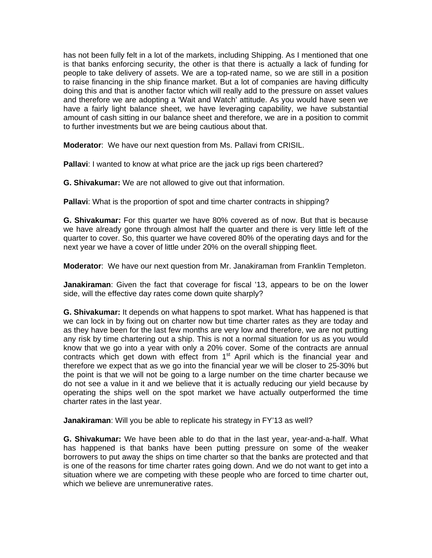has not been fully felt in a lot of the markets, including Shipping. As I mentioned that one is that banks enforcing security, the other is that there is actually a lack of funding for people to take delivery of assets. We are a top-rated name, so we are still in a position to raise financing in the ship finance market. But a lot of companies are having difficulty doing this and that is another factor which will really add to the pressure on asset values and therefore we are adopting a 'Wait and Watch' attitude. As you would have seen we have a fairly light balance sheet, we have leveraging capability, we have substantial amount of cash sitting in our balance sheet and therefore, we are in a position to commit to further investments but we are being cautious about that.

**Moderator**: We have our next question from Ms. Pallavi from CRISIL.

**Pallavi**: I wanted to know at what price are the jack up rigs been chartered?

**G. Shivakumar:** We are not allowed to give out that information.

**Pallavi**: What is the proportion of spot and time charter contracts in shipping?

**G. Shivakumar:** For this quarter we have 80% covered as of now. But that is because we have already gone through almost half the quarter and there is very little left of the quarter to cover. So, this quarter we have covered 80% of the operating days and for the next year we have a cover of little under 20% on the overall shipping fleet.

**Moderator**: We have our next question from Mr. Janakiraman from Franklin Templeton.

**Janakiraman**: Given the fact that coverage for fiscal '13, appears to be on the lower side, will the effective day rates come down quite sharply?

**G. Shivakumar:** It depends on what happens to spot market. What has happened is that we can lock in by fixing out on charter now but time charter rates as they are today and as they have been for the last few months are very low and therefore, we are not putting any risk by time chartering out a ship. This is not a normal situation for us as you would know that we go into a year with only a 20% cover. Some of the contracts are annual contracts which get down with effect from 1<sup>st</sup> April which is the financial year and therefore we expect that as we go into the financial year we will be closer to 25-30% but the point is that we will not be going to a large number on the time charter because we do not see a value in it and we believe that it is actually reducing our yield because by operating the ships well on the spot market we have actually outperformed the time charter rates in the last year.

**Janakiraman**: Will you be able to replicate his strategy in FY'13 as well?

**G. Shivakumar:** We have been able to do that in the last year, year-and-a-half. What has happened is that banks have been putting pressure on some of the weaker borrowers to put away the ships on time charter so that the banks are protected and that is one of the reasons for time charter rates going down. And we do not want to get into a situation where we are competing with these people who are forced to time charter out, which we believe are unremunerative rates.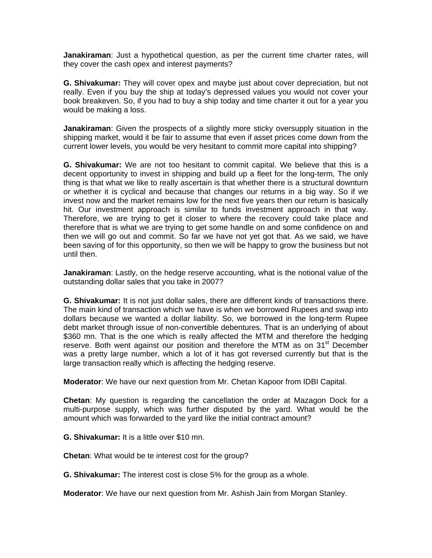**Janakiraman**: Just a hypothetical question, as per the current time charter rates, will they cover the cash opex and interest payments?

**G. Shivakumar:** They will cover opex and maybe just about cover depreciation, but not really. Even if you buy the ship at today's depressed values you would not cover your book breakeven. So, if you had to buy a ship today and time charter it out for a year you would be making a loss.

**Janakiraman**: Given the prospects of a slightly more sticky oversupply situation in the shipping market, would it be fair to assume that even if asset prices come down from the current lower levels, you would be very hesitant to commit more capital into shipping?

**G. Shivakumar:** We are not too hesitant to commit capital. We believe that this is a decent opportunity to invest in shipping and build up a fleet for the long-term, The only thing is that what we like to really ascertain is that whether there is a structural downturn or whether it is cyclical and because that changes our returns in a big way. So if we invest now and the market remains low for the next five years then our return is basically hit. Our investment approach is similar to funds investment approach in that way. Therefore, we are trying to get it closer to where the recovery could take place and therefore that is what we are trying to get some handle on and some confidence on and then we will go out and commit. So far we have not yet got that. As we said, we have been saving of for this opportunity, so then we will be happy to grow the business but not until then.

**Janakiraman**: Lastly, on the hedge reserve accounting, what is the notional value of the outstanding dollar sales that you take in 2007?

**G. Shivakumar:** It is not just dollar sales, there are different kinds of transactions there. The main kind of transaction which we have is when we borrowed Rupees and swap into dollars because we wanted a dollar liability. So, we borrowed in the long-term Rupee debt market through issue of non-convertible debentures. That is an underlying of about \$360 mn. That is the one which is really affected the MTM and therefore the hedging reserve. Both went against our position and therefore the MTM as on  $31<sup>st</sup>$  December was a pretty large number, which a lot of it has got reversed currently but that is the large transaction really which is affecting the hedging reserve.

**Moderator**: We have our next question from Mr. Chetan Kapoor from IDBI Capital.

**Chetan**: My question is regarding the cancellation the order at Mazagon Dock for a multi-purpose supply, which was further disputed by the yard. What would be the amount which was forwarded to the yard like the initial contract amount?

**G. Shivakumar:** It is a little over \$10 mn.

**Chetan**: What would be te interest cost for the group?

**G. Shivakumar:** The interest cost is close 5% for the group as a whole.

**Moderator**: We have our next question from Mr. Ashish Jain from Morgan Stanley.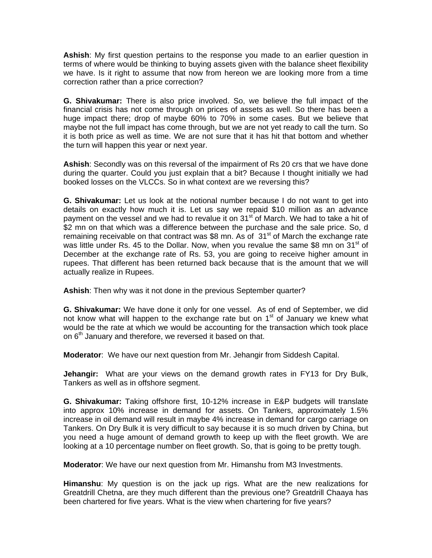**Ashish**: My first question pertains to the response you made to an earlier question in terms of where would be thinking to buying assets given with the balance sheet flexibility we have. Is it right to assume that now from hereon we are looking more from a time correction rather than a price correction?

**G. Shivakumar:** There is also price involved. So, we believe the full impact of the financial crisis has not come through on prices of assets as well. So there has been a huge impact there; drop of maybe 60% to 70% in some cases. But we believe that maybe not the full impact has come through, but we are not yet ready to call the turn. So it is both price as well as time. We are not sure that it has hit that bottom and whether the turn will happen this year or next year.

**Ashish**: Secondly was on this reversal of the impairment of Rs 20 crs that we have done during the quarter. Could you just explain that a bit? Because I thought initially we had booked losses on the VLCCs. So in what context are we reversing this?

**G. Shivakumar:** Let us look at the notional number because I do not want to get into details on exactly how much it is. Let us say we repaid \$10 million as an advance payment on the vessel and we had to revalue it on 31<sup>st</sup> of March. We had to take a hit of \$2 mn on that which was a difference between the purchase and the sale price. So, d remaining receivable on that contract was \$8 mn. As of  $31<sup>st</sup>$  of March the exchange rate was little under Rs. 45 to the Dollar. Now, when you revalue the same \$8 mn on  $31<sup>st</sup>$  of December at the exchange rate of Rs. 53, you are going to receive higher amount in rupees. That different has been returned back because that is the amount that we will actually realize in Rupees.

**Ashish**: Then why was it not done in the previous September quarter?

**G. Shivakumar:** We have done it only for one vessel. As of end of September, we did not know what will happen to the exchange rate but on  $1<sup>st</sup>$  of January we knew what would be the rate at which we would be accounting for the transaction which took place on 6<sup>th</sup> January and therefore, we reversed it based on that.

**Moderator**: We have our next question from Mr. Jehangir from Siddesh Capital.

**Jehangir:** What are your views on the demand growth rates in FY13 for Dry Bulk, Tankers as well as in offshore segment.

**G. Shivakumar:** Taking offshore first, 10-12% increase in E&P budgets will translate into approx 10% increase in demand for assets. On Tankers, approximately 1.5% increase in oil demand will result in maybe 4% increase in demand for cargo carriage on Tankers. On Dry Bulk it is very difficult to say because it is so much driven by China, but you need a huge amount of demand growth to keep up with the fleet growth. We are looking at a 10 percentage number on fleet growth. So, that is going to be pretty tough.

**Moderator**: We have our next question from Mr. Himanshu from M3 Investments.

**Himanshu**: My question is on the jack up rigs. What are the new realizations for Greatdrill Chetna, are they much different than the previous one? Greatdrill Chaaya has been chartered for five years. What is the view when chartering for five years?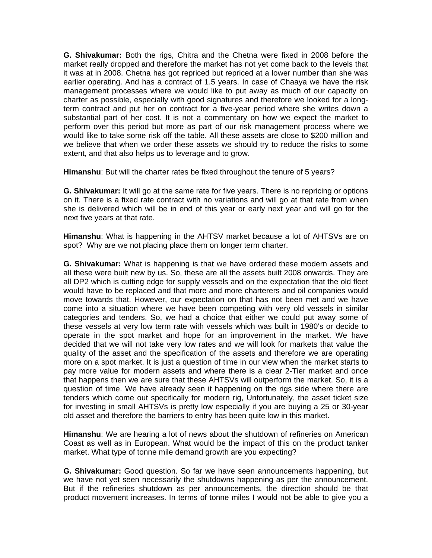**G. Shivakumar:** Both the rigs, Chitra and the Chetna were fixed in 2008 before the market really dropped and therefore the market has not yet come back to the levels that it was at in 2008. Chetna has got repriced but repriced at a lower number than she was earlier operating. And has a contract of 1.5 years. In case of Chaaya we have the risk management processes where we would like to put away as much of our capacity on charter as possible, especially with good signatures and therefore we looked for a longterm contract and put her on contract for a five-year period where she writes down a substantial part of her cost. It is not a commentary on how we expect the market to perform over this period but more as part of our risk management process where we would like to take some risk off the table. All these assets are close to \$200 million and we believe that when we order these assets we should try to reduce the risks to some extent, and that also helps us to leverage and to grow.

**Himanshu**: But will the charter rates be fixed throughout the tenure of 5 years?

**G. Shivakumar:** It will go at the same rate for five years. There is no repricing or options on it. There is a fixed rate contract with no variations and will go at that rate from when she is delivered which will be in end of this year or early next year and will go for the next five years at that rate.

**Himanshu**: What is happening in the AHTSV market because a lot of AHTSVs are on spot? Why are we not placing place them on longer term charter.

**G. Shivakumar:** What is happening is that we have ordered these modern assets and all these were built new by us. So, these are all the assets built 2008 onwards. They are all DP2 which is cutting edge for supply vessels and on the expectation that the old fleet would have to be replaced and that more and more charterers and oil companies would move towards that. However, our expectation on that has not been met and we have come into a situation where we have been competing with very old vessels in similar categories and tenders. So, we had a choice that either we could put away some of these vessels at very low term rate with vessels which was built in 1980's or decide to operate in the spot market and hope for an improvement in the market. We have decided that we will not take very low rates and we will look for markets that value the quality of the asset and the specification of the assets and therefore we are operating more on a spot market. It is just a question of time in our view when the market starts to pay more value for modern assets and where there is a clear 2-Tier market and once that happens then we are sure that these AHTSVs will outperform the market. So, it is a question of time. We have already seen it happening on the rigs side where there are tenders which come out specifically for modern rig, Unfortunately, the asset ticket size for investing in small AHTSVs is pretty low especially if you are buying a 25 or 30-year old asset and therefore the barriers to entry has been quite low in this market.

**Himanshu**: We are hearing a lot of news about the shutdown of refineries on American Coast as well as in European. What would be the impact of this on the product tanker market. What type of tonne mile demand growth are you expecting?

**G. Shivakumar:** Good question. So far we have seen announcements happening, but we have not yet seen necessarily the shutdowns happening as per the announcement. But if the refineries shutdown as per announcements, the direction should be that product movement increases. In terms of tonne miles I would not be able to give you a